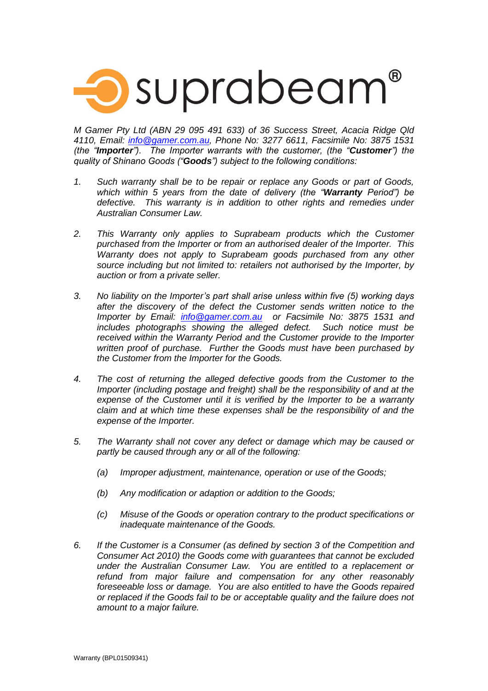

*M Gamer Pty Ltd (ABN 29 095 491 633) of 36 Success Street, Acacia Ridge Qld 4110, Email: [info@gamer.com.au,](mailto:info@gamer.com.au) Phone No: 3277 6611, Facsimile No: 3875 1531 (the "Importer"). The Importer warrants with the customer, (the "Customer") the quality of Shinano Goods ("Goods") subject to the following conditions:*

- *1. Such warranty shall be to be repair or replace any Goods or part of Goods, which within 5 years from the date of delivery (the "Warranty Period") be defective. This warranty is in addition to other rights and remedies under Australian Consumer Law.*
- *2. This Warranty only applies to Suprabeam products which the Customer purchased from the Importer or from an authorised dealer of the Importer. This Warranty does not apply to Suprabeam goods purchased from any other source including but not limited to: retailers not authorised by the Importer, by auction or from a private seller.*
- *3. No liability on the Importer's part shall arise unless within five (5) working days after the discovery of the defect the Customer sends written notice to the Importer by Email: [info@gamer.com.au](mailto:info@gamer.com.au) or Facsimile No: 3875 1531 and includes photographs showing the alleged defect. Such notice must be received within the Warranty Period and the Customer provide to the Importer written proof of purchase. Further the Goods must have been purchased by the Customer from the Importer for the Goods.*
- *4. The cost of returning the alleged defective goods from the Customer to the Importer (including postage and freight) shall be the responsibility of and at the expense of the Customer until it is verified by the Importer to be a warranty claim and at which time these expenses shall be the responsibility of and the expense of the Importer.*
- *5. The Warranty shall not cover any defect or damage which may be caused or partly be caused through any or all of the following:*
	- *(a) Improper adjustment, maintenance, operation or use of the Goods;*
	- *(b) Any modification or adaption or addition to the Goods;*
	- *(c) Misuse of the Goods or operation contrary to the product specifications or inadequate maintenance of the Goods.*
- *6. If the Customer is a Consumer (as defined by section 3 of the Competition and Consumer Act 2010) the Goods come with guarantees that cannot be excluded under the Australian Consumer Law. You are entitled to a replacement or refund from major failure and compensation for any other reasonably foreseeable loss or damage. You are also entitled to have the Goods repaired or replaced if the Goods fail to be or acceptable quality and the failure does not amount to a major failure.*